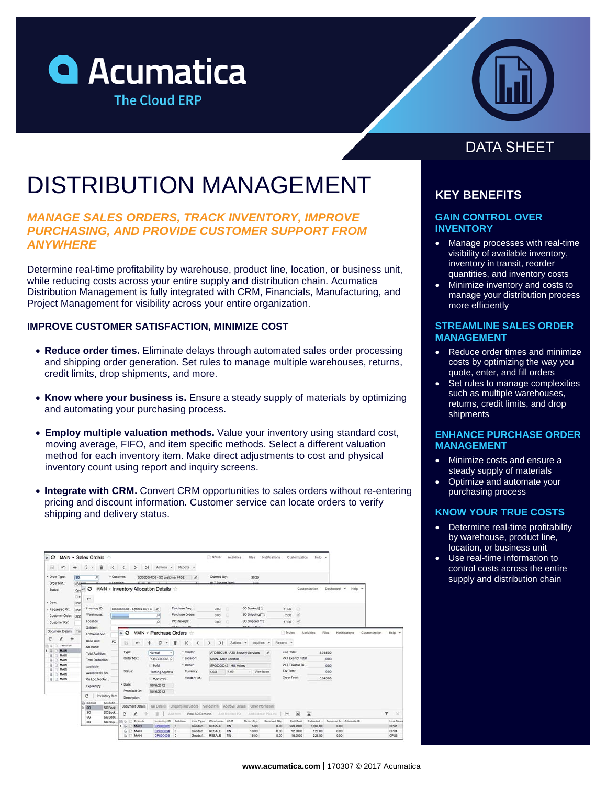



# DISTRIBUTION MANAGEMENT

# *MANAGE SALES ORDERS, TRACK INVENTORY, IMPROVE PURCHASING, AND PROVIDE CUSTOMER SUPPORT FROM ANYWHERE*

Determine real-time profitability by warehouse, product line, location, or business unit, while reducing costs across your entire supply and distribution chain. Acumatica Distribution Management is fully integrated with CRM, Financials, Manufacturing, and Project Management for visibility across your entire organization.

### **IMPROVE CUSTOMER SATISFACTION, MINIMIZE COST**

- **Reduce order times.** Eliminate delays through automated sales order processing and shipping order generation. Set rules to manage multiple warehouses, returns, credit limits, drop shipments, and more.
- **Know where your business is.** Ensure a steady supply of materials by optimizing and automating your purchasing process.
- **Employ multiple valuation methods.** Value your inventory using standard cost, moving average, FIFO, and item specific methods. Select a different valuation method for each inventory item. Make direct adjustments to cost and physical inventory count using report and inquiry screens.
- **Integrate with CRM.** Convert CRM opportunities to sales orders without re-entering pricing and discount information. Customer service can locate orders to verify shipping and delivery status.

| ы<br>r                                           | o<br>盲<br>K                                                                                                                                                                                                                                                                                                                                               | >1<br>$\rightarrow$<br>ĸ         | Actions v                        | Reports -                                  |                                                     |                                                                                 |                      |                                                                |                           |                      |
|--------------------------------------------------|-----------------------------------------------------------------------------------------------------------------------------------------------------------------------------------------------------------------------------------------------------------------------------------------------------------------------------------------------------------|----------------------------------|----------------------------------|--------------------------------------------|-----------------------------------------------------|---------------------------------------------------------------------------------|----------------------|----------------------------------------------------------------|---------------------------|----------------------|
| · Order Type:<br>Order Nbr.:<br>Status:          | · Customer<br>50<br>$\Omega$                                                                                                                                                                                                                                                                                                                              |                                  | SO00000402 - SO customer #402    | $\lambda$                                  | Ordered Qty.:                                       | 39.25                                                                           |                      |                                                                |                           |                      |
|                                                  | LIAY Commercial Trees<br>coce-<br>MAIN - Inventory Allocation Details<br>۰<br>Customization<br>Dashboard<br>Halp -<br>$\sim$<br>$46$<br>Ood<br>$\Box H$<br>r                                                                                                                                                                                              |                                  |                                  |                                            |                                                     |                                                                                 |                      |                                                                |                           |                      |
| Date:<br>Requested On:                           | 3/9<br>· Inventory ID:<br>3/8                                                                                                                                                                                                                                                                                                                             | D000000000 - Optifiex D01 P      |                                  | Purchase Prep                              | 0.00<br>o                                           | SO Booked [**]:                                                                 | 11.00                | a                                                              |                           |                      |
| Customer Order:                                  | Warehouse:<br>sod                                                                                                                                                                                                                                                                                                                                         |                                  | $\Omega$                         | Purchase Orders:                           | Θ<br>0.00                                           | SO Shipping ["]                                                                 | 2.00                 |                                                                |                           |                      |
| <b>Customer Ref:</b>                             | Location:                                                                                                                                                                                                                                                                                                                                                 |                                  | $\circ$                          | PO Receipts:                               | 0.00<br>o                                           | SO Shipped ["]:                                                                 | 17.00                | V                                                              |                           |                      |
| Document Details<br>С<br>÷<br>$-$ Branch<br>MAIN | Tits<br>MAIN - Purchase Orders<br>Notes<br>Notifications<br>$\alpha$ $\Omega$<br>Activities<br>Föes:<br>Customization<br>LotSerial Nbr.:<br><b>Base Unit</b><br>PC<br>ο<br>$\geq$<br>к<br>Actions v<br>Reports +<br>Inquiries v<br>ы<br>On Hand:<br>Line Total:<br>Type:<br>· Vendor:<br>ATOSECUR - ATD Security Services<br>5,345.00<br>Normal<br>$\sim$ |                                  |                                  |                                            |                                                     |                                                                                 |                      |                                                                |                           | Help -               |
|                                                  |                                                                                                                                                                                                                                                                                                                                                           | Order Nbr.:                      |                                  |                                            |                                                     |                                                                                 |                      |                                                                |                           |                      |
| MAIN<br>ü                                        | Total Addition:                                                                                                                                                                                                                                                                                                                                           |                                  |                                  | · Location:                                |                                                     |                                                                                 | $\epsilon$           | VAT Exempt Total:                                              |                           |                      |
| ü<br>MAIN<br>MAIN<br>ü                           | Total Deduction:                                                                                                                                                                                                                                                                                                                                          |                                  | PORG000083_O<br>Hold             | - Owner:                                   | MAIN - Main Location                                |                                                                                 |                      | VAT Taxable To                                                 | 0.00<br>0.00              |                      |
| MAIN                                             | Available:                                                                                                                                                                                                                                                                                                                                                | Status:                          | Pending Approva                  | Cumency:                                   | EP00000043 - Hill, Valery<br>1.00<br><b>USD</b>     | $-$ View base                                                                   | <b>Tax Total:</b>    |                                                                | 0.00                      |                      |
| MAIN<br><b>MAIN</b>                              | Available for Sh<br>On Loc. Not Av                                                                                                                                                                                                                                                                                                                        |                                  | Approved                         | Vendor Ref:                                |                                                     |                                                                                 | Order Total:         |                                                                | 5,345.00                  |                      |
|                                                  | Expired ["):                                                                                                                                                                                                                                                                                                                                              | · Date:                          | 10/16/2012                       |                                            |                                                     |                                                                                 |                      |                                                                |                           |                      |
|                                                  | c                                                                                                                                                                                                                                                                                                                                                         | Promised On:                     | 10/16/2012                       |                                            |                                                     |                                                                                 |                      |                                                                |                           |                      |
|                                                  | Inventory item<br><b>CD</b> Module<br>Allocatio.<br><b>SO</b><br>SO Book<br>s                                                                                                                                                                                                                                                                             | Description:<br>Document Details |                                  |                                            |                                                     | Tax Details Shipping matructions Vendor Info Approval Details Other Information |                      |                                                                |                           |                      |
|                                                  | SO.<br>SO Book<br>SO.<br>SO Book                                                                                                                                                                                                                                                                                                                          | c<br>ı                           | ïï                               | Acid itself. View SO Demand                |                                                     | And Blanket FO Add Blanket PO Une                                               | $[+1]$               | $\left( \frac{1}{2} \right)$<br>$\mathbf{x}$                   |                           | ۳<br>$\infty$        |
|                                                  | SO <sub>1</sub><br>SO Ship.                                                                                                                                                                                                                                                                                                                               | 80<br>Branch<br><b>MAIN</b>      | Inventory ID Subitem             | Line Type                                  | Warehouse UOM<br><b>RESALE</b>                      | Order Oty.                                                                      | Received Oty.        | Unit Cost<br>Extended                                          | Received A., Alternate ID | Line Descr           |
|                                                  |                                                                                                                                                                                                                                                                                                                                                           | ü<br>MAIN<br>MAIN                | CPU00001<br>CPU00004<br>CPU00005 | Goods f.<br>$\circ$<br>$\circ$<br>Goods f. | TIN<br>TIN<br><b>RESALE</b><br><b>RESALE</b><br>TIN | 5.00<br>10.00<br>15.00                                                          | 0.00<br>0.00<br>0.00 | 999.9990<br>5,000.00<br>12,0000<br>120.00<br>15,0000<br>225.00 | 0.00<br>0.00<br>0.00      | CPU1<br>CPU4<br>CPU5 |

# **DATA SHEET**

# **KEY BENEFITS**

### **GAIN CONTROL OVER INVENTORY**

- Manage processes with real-time visibility of available inventory, inventory in transit, reorder quantities, and inventory costs
- Minimize inventory and costs to manage your distribution process more efficiently

### **STREAMLINE SALES ORDER MANAGEMENT**

- Reduce order times and minimize costs by optimizing the way you quote, enter, and fill orders
- Set rules to manage complexities such as multiple warehouses, returns, credit limits, and drop shipments

### **ENHANCE PURCHASE ORDER MANAGEMENT**

- Minimize costs and ensure a steady supply of materials
- Optimize and automate your purchasing process

### **KNOW YOUR TRUE COSTS**

- Determine real-time profitability by warehouse, product line, location, or business unit
- Use real-time information to control costs across the entire supply and distribution chain